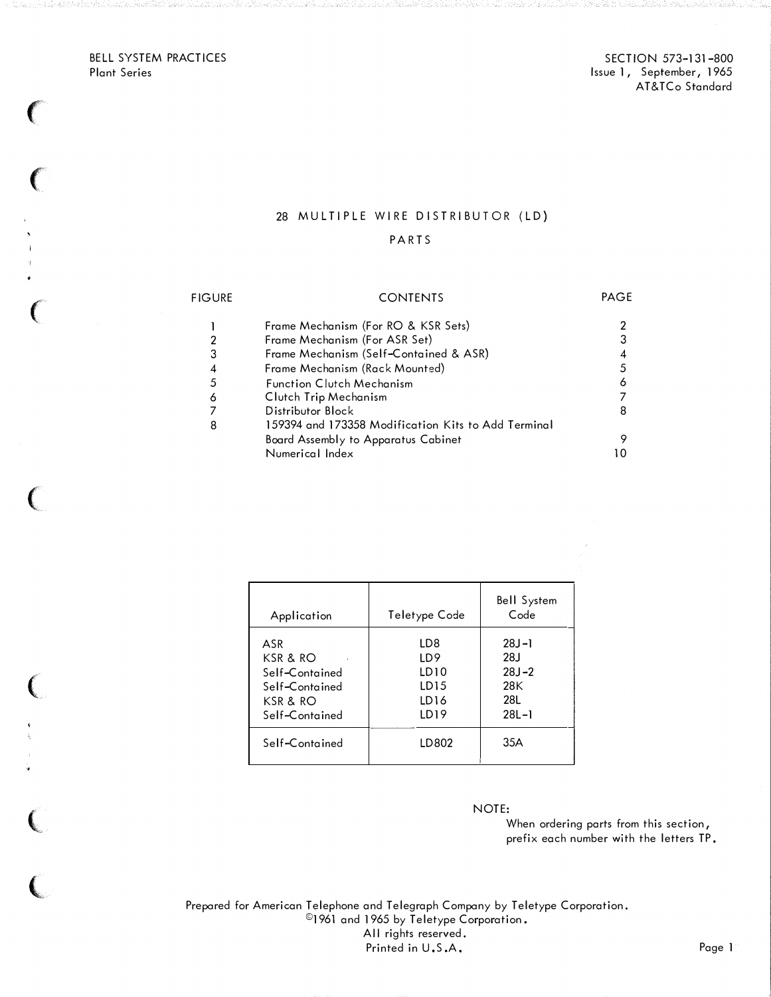BELL SYSTEM PRACTICES Plant Series

 $\big($ 

 $\big($ 

 $\epsilon$ 

 $\begin{array}{c} \mathbf{5} \\ \mathbf{1} \\ \mathbf{3} \\ \mathbf{4} \\ \mathbf{6} \end{array}$ 

 $\big($ 

(

 $\overline{\mathbf{C}}$ 

 $\mathbf{v}$ 

 $\big($ 

SECTION 573-131-800 Issue 1, September, 1965 AT&TCo Standard

## 28 MULTIPLE WIRE DISTRIBUTOR (LD)

#### PART S

#### FIGURE 1 2 3 4 5 6 7 8 CONTENTS Frame Mechanism (For RO & KSR Sets) Frame Mechanism (For ASR Set) Frame Mechanism (Self-Contained & ASR) Frame Mechanism (Rack Mounted) Function Clutch Mechanism Clutch Trip Mechanism Distributor Block 159394 and 173358 Modification Kits to Add Terminal Board Assembly to Apparatus Cabinet Numerical Index PAGE 2 3 4 5 6 7 8 9 10

| Application                                                                         | Teletype Code                                                      | <b>Bell System</b><br>Code                               |
|-------------------------------------------------------------------------------------|--------------------------------------------------------------------|----------------------------------------------------------|
| ASR<br>$KSR$ & RO<br>Self-Contained<br>Self-Contained<br>KSR & RO<br>Self-Contained | LD8<br>LD9<br>LD10<br>LD15<br>LD <sub>16</sub><br>LD <sub>19</sub> | $28J - 1$<br>28J<br>$28J - 2$<br>28K<br>28L<br>$28L - 1$ |
| Self-Contained                                                                      | LD802                                                              | 35A                                                      |

NOTE:

When ordering parts from this section, prefix each number with the letters TP.

Prepared for American Telephone and Telegraph Company by Teletype Corporation. ©1961 and 1965 by Teletype Corporation. All rights reserved. Printed in U.S.A. Page 1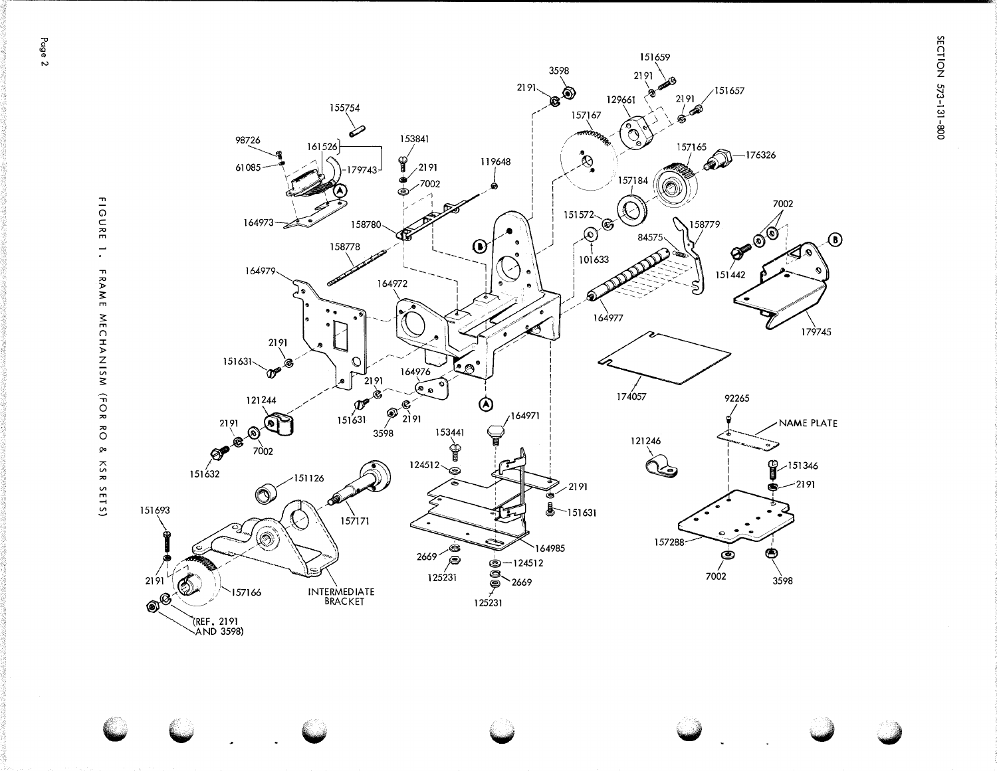SECTION 573-131-800



**FIGURE**  $\overline{\mathcal{L}}$ FRAME NECHANISM (FOR RO  $\pmb{\bowtie}$ KSR SETS)

Page 2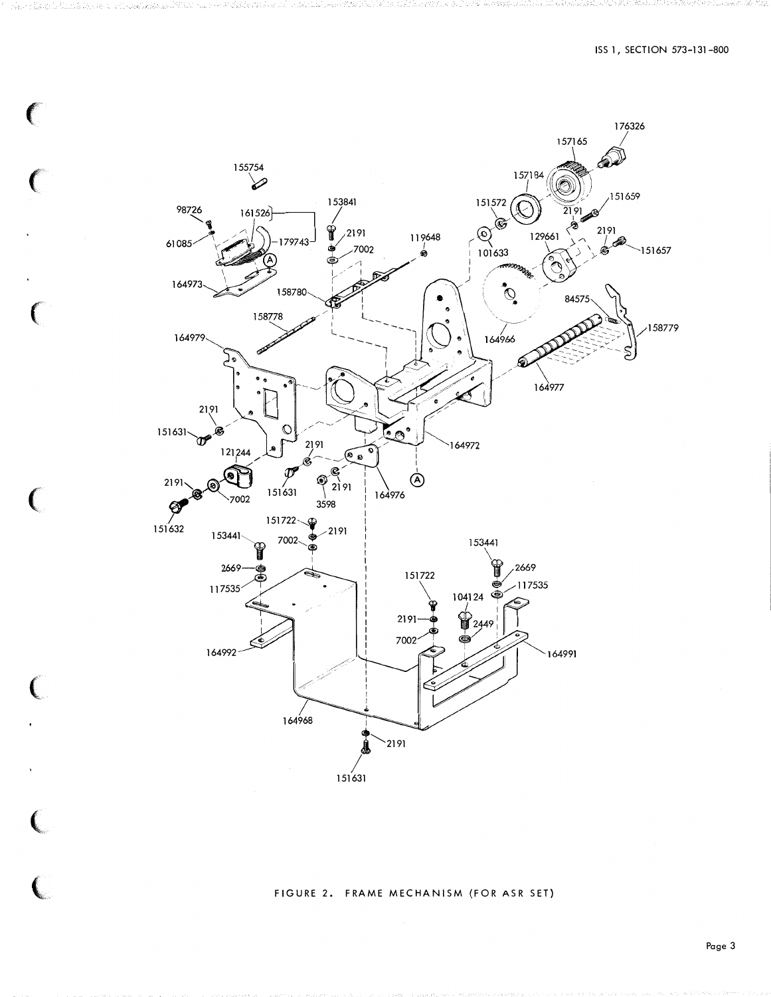

 $\left($ 

 $\big($ 

€

C

 $\overline{\mathbf{C}}$ 

#### FIGURE 2. FRAME MECHANISM (FOR ASR SET)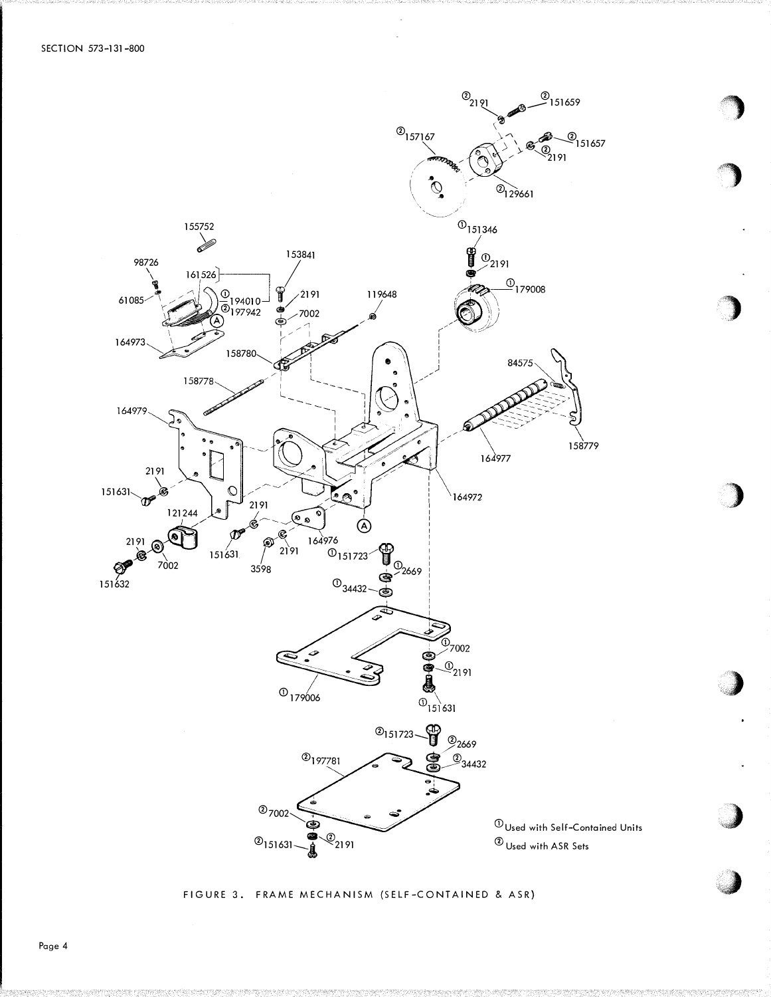

FIGURE 3. FRAME MECHANISM (SELF-CONTAINED & ASR)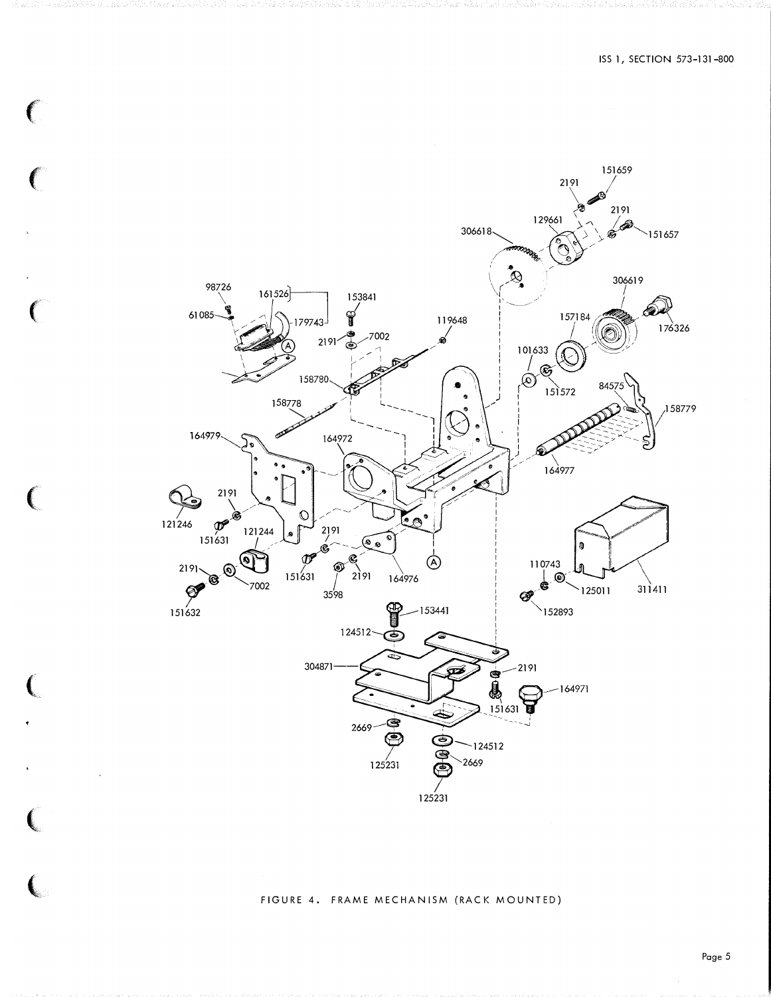

 $\big($ 

 $\big($ 

 $\big($ 

#### FIGURE 4. FRAME MECHANISM (RACK MOUNTED)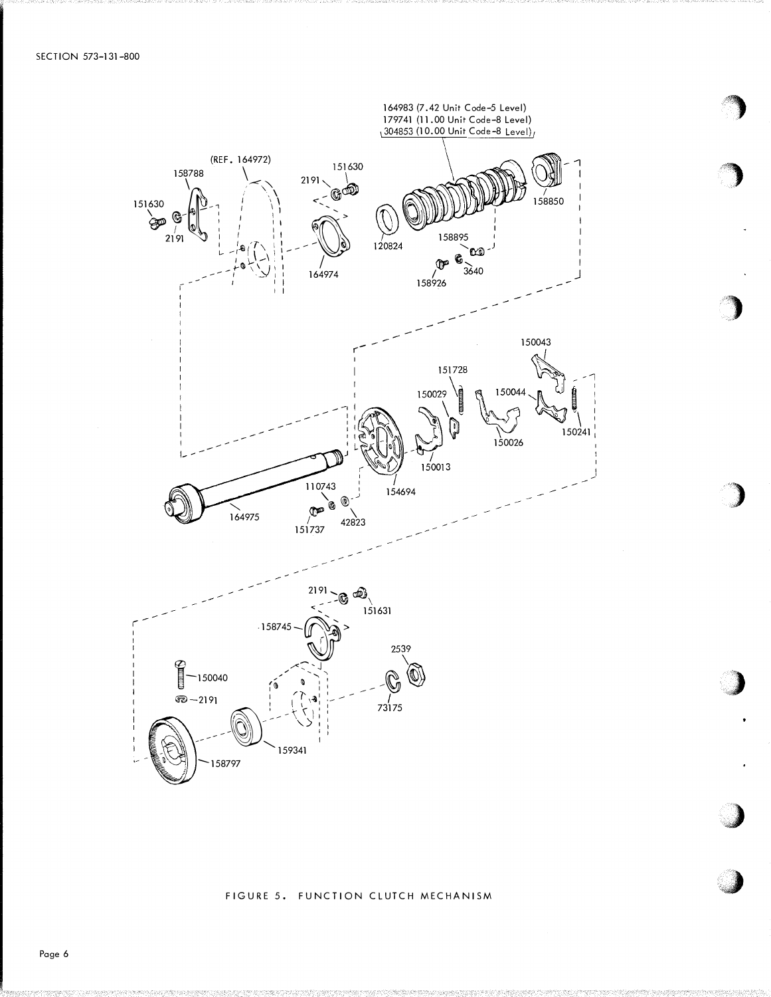

FIGURE 5. FUNCTION CLUTCH MECHANISM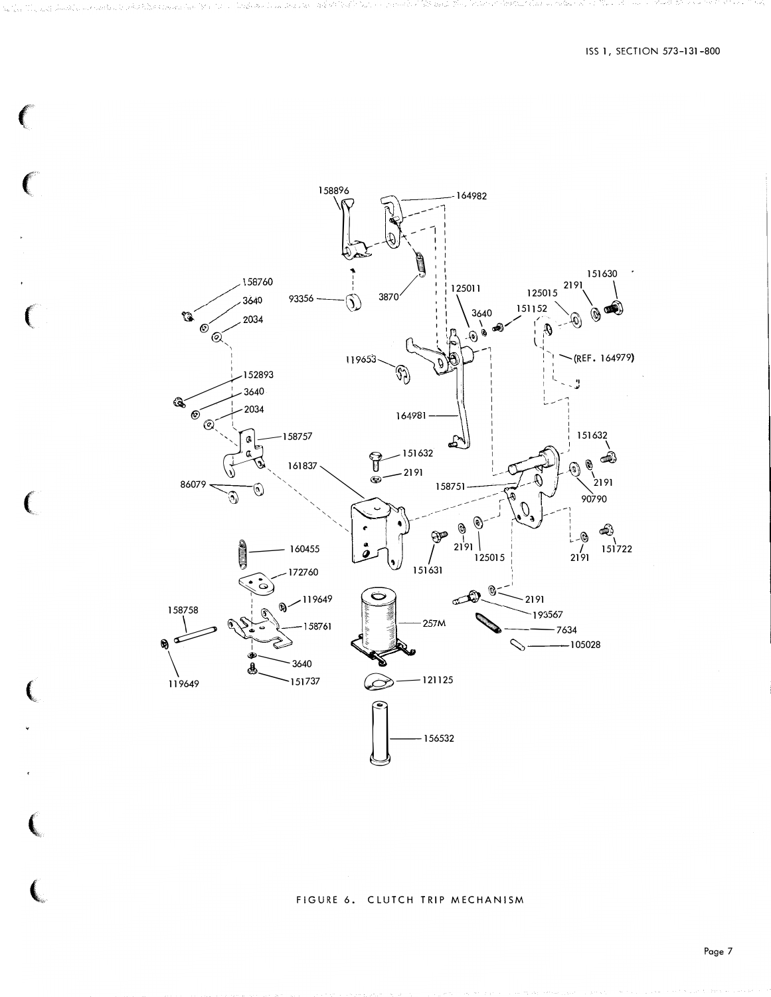

#### FIGURE 6. CLUTCH TRIP MECHANISM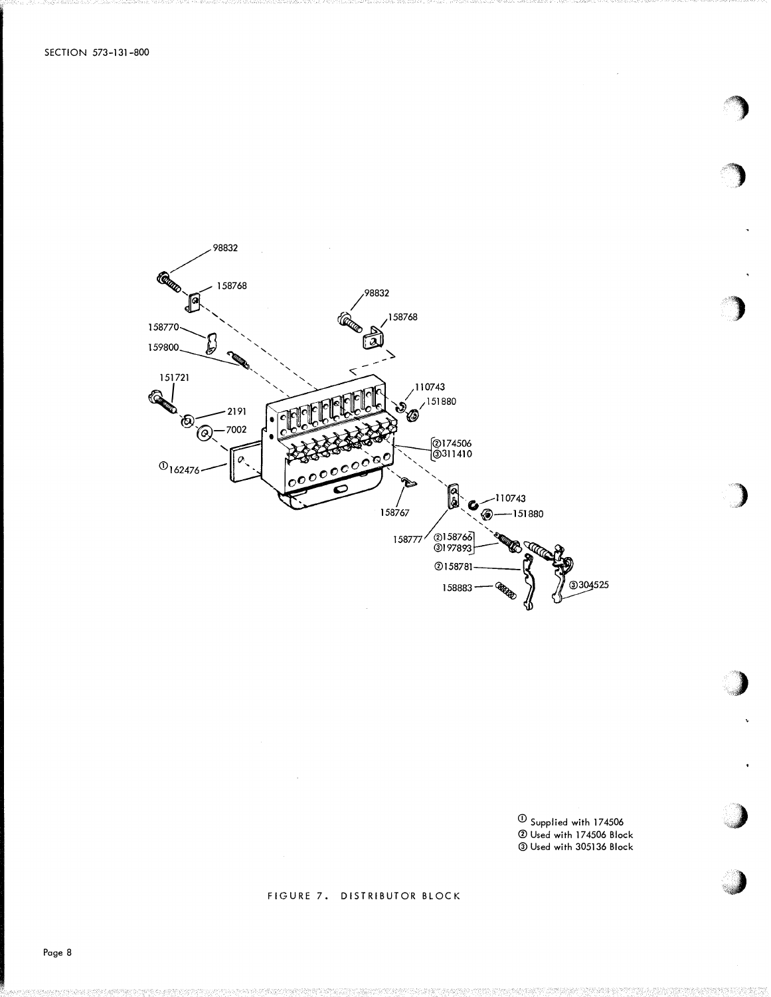

 $^{\rm \oplus}$  Supplied with 174506 <sup>0</sup>Used with 174506 Block @)Used with 305136 Block '')

)

'')

)

**J** 

**.** -�4:1

### FIGURE 7. DISTRIBUTOR BLOCK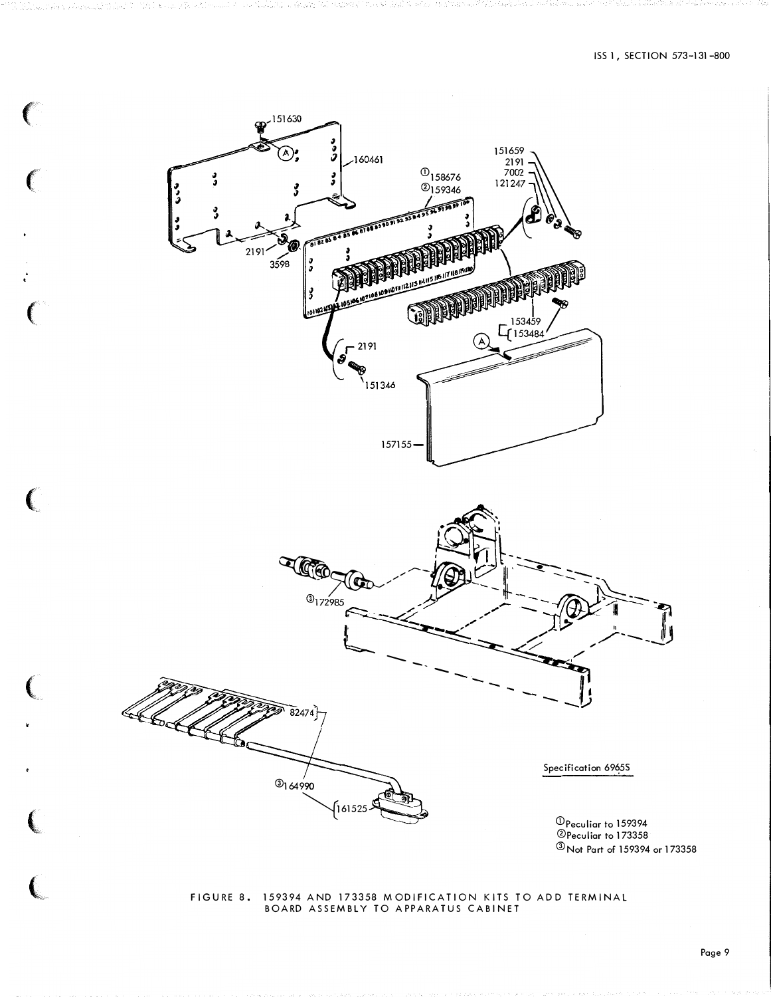

# FIGURE 8. 159394 AND 173358 MODIFICATION KITS TO ADD TERMINAL BOARD ASSEMBLY TO APPARATUS CABINET